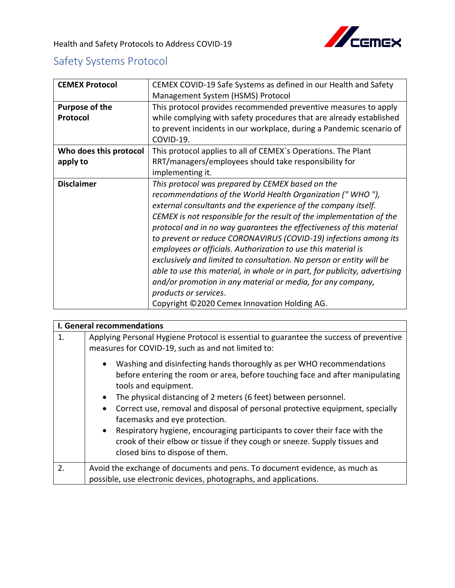

## Safety Systems Protocol

| <b>CEMEX Protocol</b>  | CEMEX COVID-19 Safe Systems as defined in our Health and Safety            |
|------------------------|----------------------------------------------------------------------------|
|                        |                                                                            |
|                        | Management System (HSMS) Protocol                                          |
| <b>Purpose of the</b>  | This protocol provides recommended preventive measures to apply            |
| Protocol               | while complying with safety procedures that are already established        |
|                        |                                                                            |
|                        | to prevent incidents in our workplace, during a Pandemic scenario of       |
|                        | COVID-19.                                                                  |
| Who does this protocol | This protocol applies to all of CEMEX's Operations. The Plant              |
| apply to               | RRT/managers/employees should take responsibility for                      |
|                        | implementing it.                                                           |
| <b>Disclaimer</b>      |                                                                            |
|                        | This protocol was prepared by CEMEX based on the                           |
|                        | recommendations of the World Health Organization ("WHO"),                  |
|                        | external consultants and the experience of the company itself.             |
|                        | CEMEX is not responsible for the result of the implementation of the       |
|                        | protocol and in no way quarantees the effectiveness of this material       |
|                        | to prevent or reduce CORONAVIRUS (COVID-19) infections among its           |
|                        | employees or officials. Authorization to use this material is              |
|                        |                                                                            |
|                        | exclusively and limited to consultation. No person or entity will be       |
|                        | able to use this material, in whole or in part, for publicity, advertising |
|                        | and/or promotion in any material or media, for any company,                |
|                        | products or services.                                                      |
|                        |                                                                            |
|                        | Copyright ©2020 Cemex Innovation Holding AG.                               |

|    | <b>I. General recommendations</b>                                                                                                                                                                        |
|----|----------------------------------------------------------------------------------------------------------------------------------------------------------------------------------------------------------|
| 1. | Applying Personal Hygiene Protocol is essential to guarantee the success of preventive<br>measures for COVID-19, such as and not limited to:                                                             |
|    | Washing and disinfecting hands thoroughly as per WHO recommendations<br>$\bullet$<br>before entering the room or area, before touching face and after manipulating<br>tools and equipment.               |
|    | The physical distancing of 2 meters (6 feet) between personnel.<br>$\bullet$                                                                                                                             |
|    | Correct use, removal and disposal of personal protective equipment, specially<br>$\bullet$<br>facemasks and eye protection.                                                                              |
|    | Respiratory hygiene, encouraging participants to cover their face with the<br>$\bullet$<br>crook of their elbow or tissue if they cough or sneeze. Supply tissues and<br>closed bins to dispose of them. |
| 2. | Avoid the exchange of documents and pens. To document evidence, as much as<br>possible, use electronic devices, photographs, and applications.                                                           |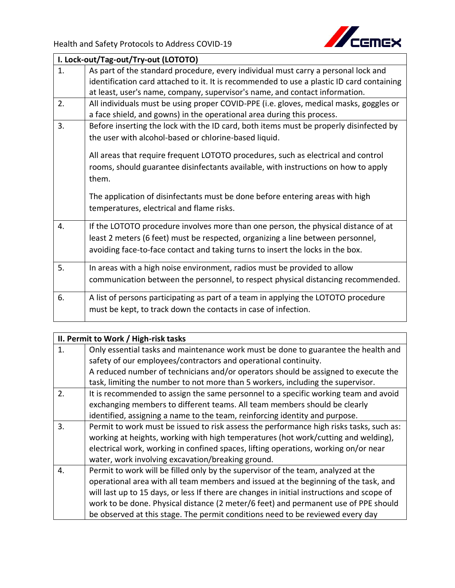

|    | I. Lock-out/Tag-out/Try-out (LOTOTO)                                                      |
|----|-------------------------------------------------------------------------------------------|
| 1. | As part of the standard procedure, every individual must carry a personal lock and        |
|    | identification card attached to it. It is recommended to use a plastic ID card containing |
|    | at least, user's name, company, supervisor's name, and contact information.               |
| 2. | All individuals must be using proper COVID-PPE (i.e. gloves, medical masks, goggles or    |
|    | a face shield, and gowns) in the operational area during this process.                    |
| 3. | Before inserting the lock with the ID card, both items must be properly disinfected by    |
|    | the user with alcohol-based or chlorine-based liquid.                                     |
|    | All areas that require frequent LOTOTO procedures, such as electrical and control         |
|    | rooms, should guarantee disinfectants available, with instructions on how to apply        |
|    | them.                                                                                     |
|    |                                                                                           |
|    | The application of disinfectants must be done before entering areas with high             |
|    | temperatures, electrical and flame risks.                                                 |
|    |                                                                                           |
| 4. | If the LOTOTO procedure involves more than one person, the physical distance of at        |
|    | least 2 meters (6 feet) must be respected, organizing a line between personnel,           |
|    | avoiding face-to-face contact and taking turns to insert the locks in the box.            |
| 5. | In areas with a high noise environment, radios must be provided to allow                  |
|    | communication between the personnel, to respect physical distancing recommended.          |
|    |                                                                                           |
| 6. | A list of persons participating as part of a team in applying the LOTOTO procedure        |
|    | must be kept, to track down the contacts in case of infection.                            |

| II. Permit to Work / High-risk tasks |                                                                                            |
|--------------------------------------|--------------------------------------------------------------------------------------------|
| 1.                                   | Only essential tasks and maintenance work must be done to guarantee the health and         |
|                                      | safety of our employees/contractors and operational continuity.                            |
|                                      | A reduced number of technicians and/or operators should be assigned to execute the         |
|                                      | task, limiting the number to not more than 5 workers, including the supervisor.            |
| 2.                                   | It is recommended to assign the same personnel to a specific working team and avoid        |
|                                      | exchanging members to different teams. All team members should be clearly                  |
|                                      | identified, assigning a name to the team, reinforcing identity and purpose.                |
| 3.                                   | Permit to work must be issued to risk assess the performance high risks tasks, such as:    |
|                                      | working at heights, working with high temperatures (hot work/cutting and welding),         |
|                                      | electrical work, working in confined spaces, lifting operations, working on/or near        |
|                                      | water, work involving excavation/breaking ground.                                          |
| 4.                                   | Permit to work will be filled only by the supervisor of the team, analyzed at the          |
|                                      | operational area with all team members and issued at the beginning of the task, and        |
|                                      | will last up to 15 days, or less If there are changes in initial instructions and scope of |
|                                      | work to be done. Physical distance (2 meter/6 feet) and permanent use of PPE should        |
|                                      | be observed at this stage. The permit conditions need to be reviewed every day             |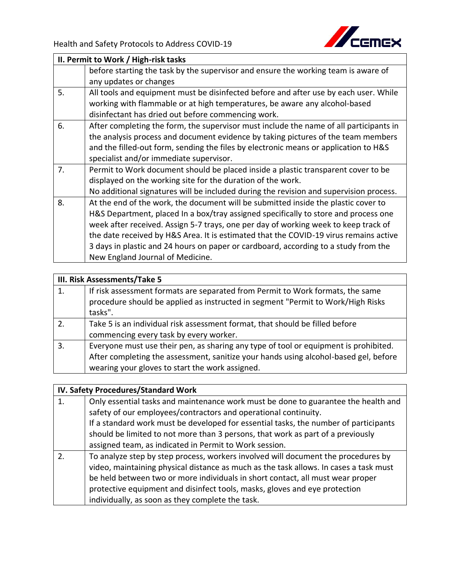

|    | II. Permit to Work / High-risk tasks                                                   |  |
|----|----------------------------------------------------------------------------------------|--|
|    | before starting the task by the supervisor and ensure the working team is aware of     |  |
|    | any updates or changes                                                                 |  |
| 5. | All tools and equipment must be disinfected before and after use by each user. While   |  |
|    | working with flammable or at high temperatures, be aware any alcohol-based             |  |
|    | disinfectant has dried out before commencing work.                                     |  |
| 6. | After completing the form, the supervisor must include the name of all participants in |  |
|    | the analysis process and document evidence by taking pictures of the team members      |  |
|    | and the filled-out form, sending the files by electronic means or application to H&S   |  |
|    | specialist and/or immediate supervisor.                                                |  |
| 7. | Permit to Work document should be placed inside a plastic transparent cover to be      |  |
|    | displayed on the working site for the duration of the work.                            |  |
|    | No additional signatures will be included during the revision and supervision process. |  |
| 8. | At the end of the work, the document will be submitted inside the plastic cover to     |  |
|    | H&S Department, placed In a box/tray assigned specifically to store and process one    |  |
|    | week after received. Assign 5-7 trays, one per day of working week to keep track of    |  |
|    | the date received by H&S Area. It is estimated that the COVID-19 virus remains active  |  |
|    | 3 days in plastic and 24 hours on paper or cardboard, according to a study from the    |  |
|    | New England Journal of Medicine.                                                       |  |

## **III. Risk Assessments/Take 5**

| 1.             | If risk assessment formats are separated from Permit to Work formats, the same<br>procedure should be applied as instructed in segment "Permit to Work/High Risks<br>tasks".                                                    |
|----------------|---------------------------------------------------------------------------------------------------------------------------------------------------------------------------------------------------------------------------------|
| 2.             | Take 5 is an individual risk assessment format, that should be filled before<br>commencing every task by every worker.                                                                                                          |
| $\overline{3}$ | Everyone must use their pen, as sharing any type of tool or equipment is prohibited.<br>After completing the assessment, sanitize your hands using alcohol-based gel, before<br>wearing your gloves to start the work assigned. |
|                |                                                                                                                                                                                                                                 |

## **IV. Safety Procedures/Standard Work**

| Only essential tasks and maintenance work must be done to guarantee the health and<br>safety of our employees/contractors and operational continuity.<br>If a standard work must be developed for essential tasks, the number of participants<br>should be limited to not more than 3 persons, that work as part of a previously<br>assigned team, as indicated in Permit to Work session.     |
|------------------------------------------------------------------------------------------------------------------------------------------------------------------------------------------------------------------------------------------------------------------------------------------------------------------------------------------------------------------------------------------------|
| To analyze step by step process, workers involved will document the procedures by<br>video, maintaining physical distance as much as the task allows. In cases a task must<br>be held between two or more individuals in short contact, all must wear proper<br>protective equipment and disinfect tools, masks, gloves and eye protection<br>individually, as soon as they complete the task. |